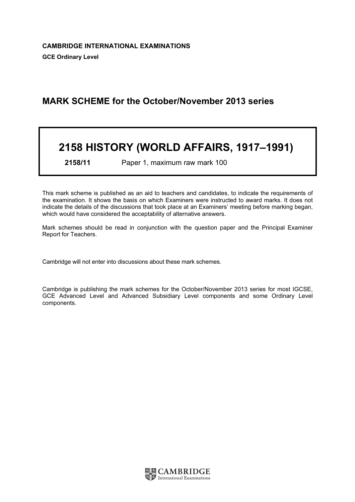# MARK SCHEME for the October/November 2013 series

# 2158 HISTORY (WORLD AFFAIRS, 1917–1991)

2158/11 Paper 1, maximum raw mark 100

This mark scheme is published as an aid to teachers and candidates, to indicate the requirements of the examination. It shows the basis on which Examiners were instructed to award marks. It does not indicate the details of the discussions that took place at an Examiners' meeting before marking began, which would have considered the acceptability of alternative answers.

Mark schemes should be read in conjunction with the question paper and the Principal Examiner Report for Teachers.

Cambridge will not enter into discussions about these mark schemes.

Cambridge is publishing the mark schemes for the October/November 2013 series for most IGCSE, GCE Advanced Level and Advanced Subsidiary Level components and some Ordinary Level components.

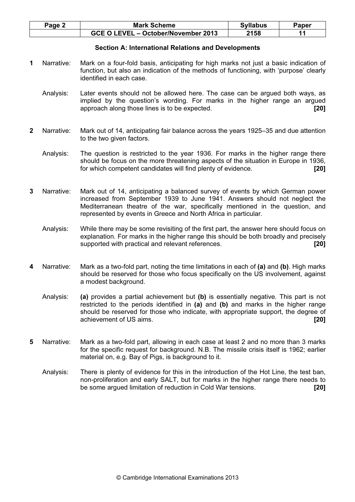| Page 2 | <b>Mark Scheme</b>                  | <b>Syllabus</b> | Paper |
|--------|-------------------------------------|-----------------|-------|
|        | GCE O LEVEL - October/November 2013 | 2158            |       |

### Section A: International Relations and Developments

- 1 Narrative: Mark on a four-fold basis, anticipating for high marks not just a basic indication of function, but also an indication of the methods of functioning, with 'purpose' clearly identified in each case.
	- Analysis: Later events should not be allowed here. The case can be argued both ways, as implied by the question's wording. For marks in the higher range an argued approach along those lines is to be expected. **Example 201 120**
- 2 Narrative: Mark out of 14, anticipating fair balance across the years 1925–35 and due attention to the two given factors.
	- Analysis: The question is restricted to the year 1936. For marks in the higher range there should be focus on the more threatening aspects of the situation in Europe in 1936, for which competent candidates will find plenty of evidence. [20]
- 3 Narrative: Mark out of 14, anticipating a balanced survey of events by which German power increased from September 1939 to June 1941. Answers should not neglect the Mediterranean theatre of the war, specifically mentioned in the question, and represented by events in Greece and North Africa in particular.
	- Analysis: While there may be some revisiting of the first part, the answer here should focus on explanation. For marks in the higher range this should be both broadly and precisely supported with practical and relevant references. [20]
- 4 Narrative: Mark as a two-fold part, noting the time limitations in each of (a) and (b). High marks should be reserved for those who focus specifically on the US involvement, against a modest background.
	- Analysis: (a) provides a partial achievement but (b) is essentially negative. This part is not restricted to the periods identified in  $(a)$  and  $(b)$  and marks in the higher range should be reserved for those who indicate, with appropriate support, the degree of achievement of US aims. **[20] Example 201**
- 5 Narrative: Mark as a two-fold part, allowing in each case at least 2 and no more than 3 marks for the specific request for background. N.B. The missile crisis itself is 1962; earlier material on, e.g. Bay of Pigs, is background to it.
	- Analysis: There is plenty of evidence for this in the introduction of the Hot Line, the test ban, non-proliferation and early SALT, but for marks in the higher range there needs to be some argued limitation of reduction in Cold War tensions. [20]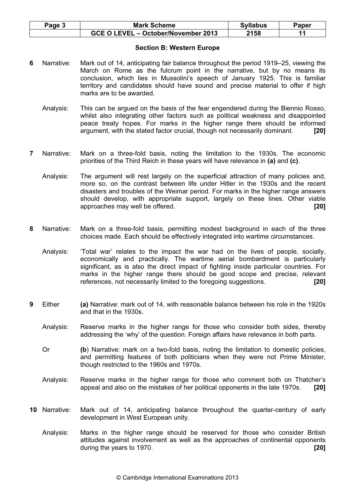| Page 5 | <b>Mark Scheme</b>                  | <b>Syllabus</b> | Paper |
|--------|-------------------------------------|-----------------|-------|
|        | GCE O LEVEL - October/November 2013 | 2158            |       |

### Section B: Western Europe

- 6 Narrative: Mark out of 14, anticipating fair balance throughout the period 1919–25, viewing the March on Rome as the fulcrum point in the narrative, but by no means its conclusion, which lies in Mussolini's speech of January 1925. This is familiar territory and candidates should have sound and precise material to offer if high marks are to be awarded.
	- Analysis: This can be argued on the basis of the fear engendered during the Biennio Rosso, whilst also integrating other factors such as political weakness and disappointed peace treaty hopes. For marks in the higher range there should be informed argument, with the stated factor crucial, though not necessarily dominant. [20]
- 7 Narrative: Mark on a three-fold basis, noting the limitation to the 1930s. The economic priorities of the Third Reich in these years will have relevance in (a) and (c).
	- Analysis: The argument will rest largely on the superficial attraction of many policies and, more so, on the contrast between life under Hitler in the 1930s and the recent disasters and troubles of the Weimar period. For marks in the higher range answers should develop, with appropriate support, largely on these lines. Other viable approaches may well be offered. [20]
- 8 Narrative: Mark on a three-fold basis, permitting modest background in each of the three choices made. Each should be effectively integrated into wartime circumstances.
	- Analysis: 'Total war' relates to the impact the war had on the lives of people, socially, economically and practically. The wartime aerial bombardment is particularly significant, as is also the direct impact of fighting inside particular countries. For marks in the higher range there should be good scope and precise, relevant references, not necessarily limited to the foregoing suggestions. [20]
- 9 Either (a) Narrative: mark out of 14, with reasonable balance between his role in the 1920s and that in the 1930s.
	- Analysis: Reserve marks in the higher range for those who consider both sides, thereby addressing the 'why' of the question. Foreign affairs have relevance in both parts.
	- Or (b) Narrative: mark on a two-fold basis, noting the limitation to domestic policies, and permitting features of both politicians when they were not Prime Minister, though restricted to the 1960s and 1970s.
	- Analysis: Reserve marks in the higher range for those who comment both on Thatcher's appeal and also on the mistakes of her political opponents in the late 1970s. [20]
- 10 Narrative: Mark out of 14, anticipating balance throughout the quarter-century of early development in West European unity.
	- Analysis: Marks in the higher range should be reserved for those who consider British attitudes against involvement as well as the approaches of continental opponents during the years to 1970.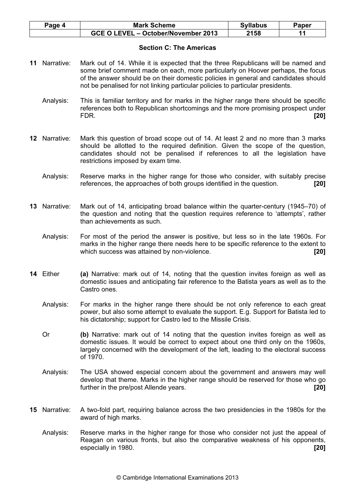| Paqe 4 | <b>Mark Scheme</b>                  | <b>Syllabus</b> | Paper |
|--------|-------------------------------------|-----------------|-------|
|        | GCE O LEVEL - October/November 2013 | 2158            |       |

# Section C: The Americas

- 11 Narrative: Mark out of 14. While it is expected that the three Republicans will be named and some brief comment made on each, more particularly on Hoover perhaps, the focus of the answer should be on their domestic policies in general and candidates should not be penalised for not linking particular policies to particular presidents.
	- Analysis: This is familiar territory and for marks in the higher range there should be specific references both to Republican shortcomings and the more promising prospect under FDR. [20]
- 12 Narrative: Mark this question of broad scope out of 14. At least 2 and no more than 3 marks should be allotted to the required definition. Given the scope of the question, candidates should not be penalised if references to all the legislation have restrictions imposed by exam time.
	- Analysis: Reserve marks in the higher range for those who consider, with suitably precise references, the approaches of both groups identified in the question. [20]
- 13 Narrative: Mark out of 14, anticipating broad balance within the quarter-century (1945–70) of the question and noting that the question requires reference to 'attempts', rather than achievements as such.
	- Analysis: For most of the period the answer is positive, but less so in the late 1960s. For marks in the higher range there needs here to be specific reference to the extent to which success was attained by non-violence. **EXEC 1201 [20]**
- 14 Either (a) Narrative: mark out of 14, noting that the question invites foreign as well as domestic issues and anticipating fair reference to the Batista years as well as to the Castro ones.
	- Analysis: For marks in the higher range there should be not only reference to each great power, but also some attempt to evaluate the support. E.g. Support for Batista led to his dictatorship; support for Castro led to the Missile Crisis.
	- Or (b) Narrative: mark out of 14 noting that the question invites foreign as well as domestic issues. It would be correct to expect about one third only on the 1960s, largely concerned with the development of the left, leading to the electoral success of 1970.
	- Analysis: The USA showed especial concern about the government and answers may well develop that theme. Marks in the higher range should be reserved for those who go further in the pre/post Allende years. **Example 201 120**
- 15 Narrative: A two-fold part, requiring balance across the two presidencies in the 1980s for the award of high marks.
	- Analysis: Reserve marks in the higher range for those who consider not just the appeal of Reagan on various fronts, but also the comparative weakness of his opponents, especially in 1980. **[20] Example 201**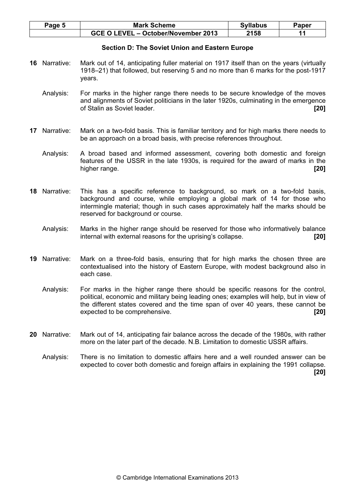| Page 5 | <b>Mark Scheme</b>                  | <b>Syllabus</b> | Paper |
|--------|-------------------------------------|-----------------|-------|
|        | GCE O LEVEL - October/November 2013 | 2158            |       |

#### Section D: The Soviet Union and Eastern Europe

- 16 Narrative: Mark out of 14, anticipating fuller material on 1917 itself than on the years (virtually 1918–21) that followed, but reserving 5 and no more than 6 marks for the post-1917 years.
	- Analysis: For marks in the higher range there needs to be secure knowledge of the moves and alignments of Soviet politicians in the later 1920s, culminating in the emergence of Stalin as Soviet leader. **[20] COVID-10 COVID-10 COVID-10 COVID-10 COVID-10 COVID-10 COVID-10 COVID-10 COVID-10 COVID-10 COVID-10 COVID-10 COVID-10 COVID-10 COVID-10 COVID-10 COVID-10**
- 17 Narrative: Mark on a two-fold basis. This is familiar territory and for high marks there needs to be an approach on a broad basis, with precise references throughout.
	- Analysis: A broad based and informed assessment, covering both domestic and foreign features of the USSR in the late 1930s, is required for the award of marks in the higher range. **[20] higher range. [20]**
- 18 Narrative: This has a specific reference to background, so mark on a two-fold basis, background and course, while employing a global mark of 14 for those who intermingle material; though in such cases approximately half the marks should be reserved for background or course.
	- Analysis: Marks in the higher range should be reserved for those who informatively balance internal with external reasons for the uprising's collapse. [20]
- 19 Narrative: Mark on a three-fold basis, ensuring that for high marks the chosen three are contextualised into the history of Eastern Europe, with modest background also in each case.
	- Analysis: For marks in the higher range there should be specific reasons for the control, political, economic and military being leading ones; examples will help, but in view of the different states covered and the time span of over 40 years, these cannot be expected to be comprehensive. **Expected** to be comprehensive.
- 20 Narrative: Mark out of 14, anticipating fair balance across the decade of the 1980s, with rather more on the later part of the decade. N.B. Limitation to domestic USSR affairs.
	- Analysis: There is no limitation to domestic affairs here and a well rounded answer can be expected to cover both domestic and foreign affairs in explaining the 1991 collapse. [20]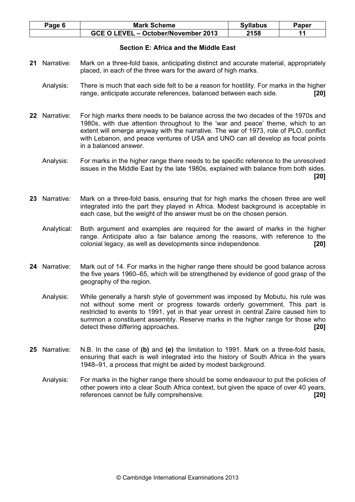| Page 6 | <b>Mark Scheme</b>                  | <b>Syllabus</b> | Paper |
|--------|-------------------------------------|-----------------|-------|
|        | GCE O LEVEL - October/November 2013 | 2158            |       |

# Section E: Africa and the Middle East

- 21 Narrative: Mark on a three-fold basis, anticipating distinct and accurate material, appropriately placed, in each of the three wars for the award of high marks.
	- Analysis: There is much that each side felt to be a reason for hostility. For marks in the higher range, anticipate accurate references, balanced between each side. [20]
- 22 Narrative: For high marks there needs to be balance across the two decades of the 1970s and 1980s, with due attention throughout to the 'war and peace' theme, which to an extent will emerge anyway with the narrative. The war of 1973, role of PLO, conflict with Lebanon, and peace ventures of USA and UNO can all develop as focal points in a balanced answer.
	- Analysis: For marks in the higher range there needs to be specific reference to the unresolved issues in the Middle East by the late 1980s, explained with balance from both sides. [20]
- 23 Narrative: Mark on a three-fold basis, ensuring that for high marks the chosen three are well integrated into the part they played in Africa. Modest background is acceptable in each case, but the weight of the answer must be on the chosen person.
	- Analytical: Both argument and examples are required for the award of marks in the higher range. Anticipate also a fair balance among the reasons, with reference to the colonial legacy, as well as developments since independence. [20]
- 24 Narrative: Mark out of 14. For marks in the higher range there should be good balance across the five years 1960–65, which will be strengthened by evidence of good grasp of the geography of the region.
	- Analysis: While generally a harsh style of government was imposed by Mobutu, his rule was not without some merit or progress towards orderly government. This part is restricted to events to 1991, yet in that year unrest in central Zaïre caused him to summon a constituent assembly. Reserve marks in the higher range for those who detect these differing approaches. **[20] [20]**
- 25 Narrative: N.B. In the case of (b) and (e) the limitation to 1991. Mark on a three-fold basis, ensuring that each is well integrated into the history of South Africa in the years 1948–91, a process that might be aided by modest background.
	- Analysis: For marks in the higher range there should be some endeavour to put the policies of other powers into a clear South Africa context, but given the space of over 40 years, references cannot be fully comprehensive. **Example 201 1201**